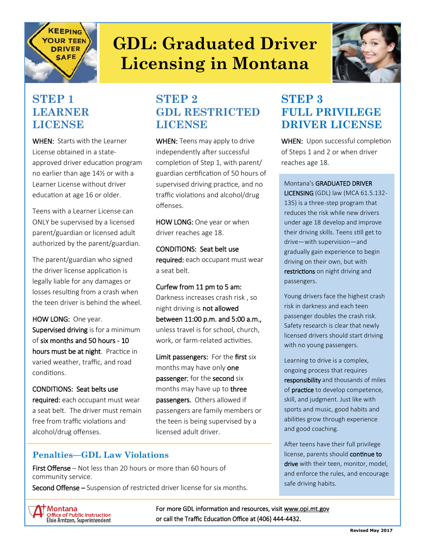

# **GDL: Graduated Driver Licensing in Montana**



#### **STEP 1 LEARNER LICENSE**

WHEN: Starts with the Learner License obtained in a stateapproved driver education program no earlier than age 14½ or with a Learner License without driver education at age 16 or older.

Teens with a Learner License can ONLY be supervised by a licensed parent/guardian or licensed adult authorized by the parent/guardian.

The parent/guardian who signed the driver license application is legally liable for any damages or losses resulting from a crash when the teen driver is behind the wheel.

HOW LONG: One year. Supervised driving is for a minimum of six months and 50 hours - 10 hours must be at night. Practice in varied weather, traffic, and road conditions.

CONDITIONS: Seat belts use required: each occupant must wear a seat belt. The driver must remain free from traffic violations and alcohol/drug offenses.

### **STEP 2 GDL RESTRICTED LICENSE**

WHEN: Teens may apply to drive independently after successful completion of Step 1, with parent/ guardian certification of 50 hours of supervised driving practice, and no traffic violations and alcohol/drug offenses.

HOW LONG: One year or when driver reaches age 18.

CONDITIONS: Seat belt use required: each occupant must wear a seat belt.

Curfew from 11 pm to 5 am: Darkness increases crash risk , so night driving is not allowed between 11:00 p.m. and 5:00 a.m., unless travel is for school, church, work, or farm-related activities.

Limit passengers: For the first six months may have only one passenger; for the second six months may have up to **three** passengers. Others allowed if passengers are family members or the teen is being supervised by a licensed adult driver.

#### **STEP 3 FULL PRIVILEGE DRIVER LICENSE**

WHEN: Upon successful completion of Steps 1 and 2 or when driver reaches age 18.

Montana's GRADUATED DRIVER LICENSING (GDL) law (MCA 61.5.132- 135) is a three-step program that reduces the risk while new drivers under age 18 develop and improve their driving skills. Teens still get to drive—with supervision—and gradually gain experience to begin driving on their own, but with restrictions on night driving and passengers.

Young drivers face the highest crash risk in darkness and each teen passenger doubles the crash risk. Safety research is clear that newly licensed drivers should start driving with no young passengers.

Learning to drive is a complex, ongoing process that requires responsibility and thousands of miles of **practice** to develop competence, skill, and judgment. Just like with sports and music, good habits and abilities grow through experience and good coaching.

After teens have their full privilege license, parents should continue to drive with their teen, monitor, model, and enforce the rules, and encourage safe driving habits.

#### **Penalties—GDL Law Violations**

First Offense – Not less than 20 hours or more than 60 hours of community service.

Second Offense – Suspension of restricted driver license for six months.

**Montana Office of Public Instruction<br>Elsie Arntzen, Superintendent**  For more GDL information and resources, visit www.opi.mt.gov or call the Traffic Education Office at (406) 444-4432.